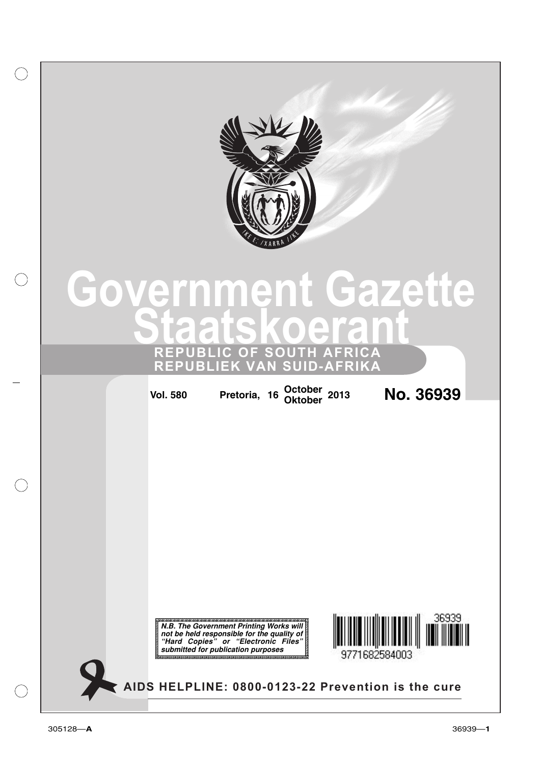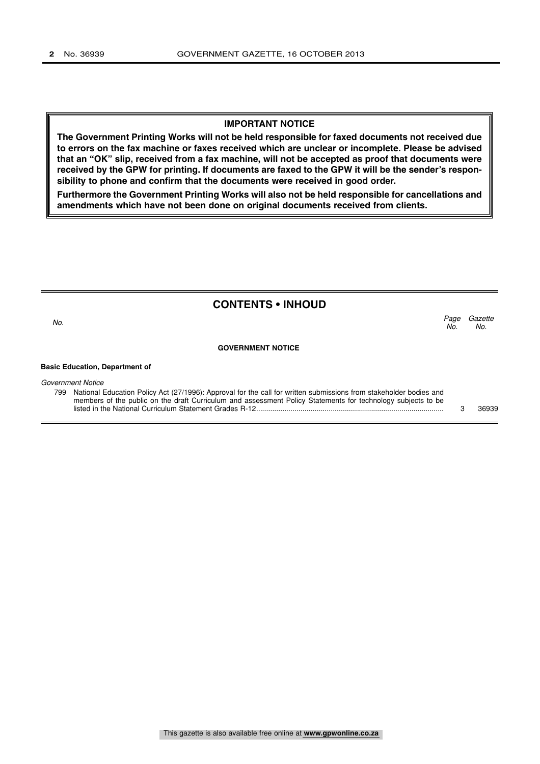### **IMPORTANT NOTICE**

**The Government Printing Works will not be held responsible for faxed documents not received due to errors on the fax machine or faxes received which are unclear or incomplete. Please be advised that an "OK" slip, received from a fax machine, will not be accepted as proof that documents were received by the GPW for printing. If documents are faxed to the GPW it will be the sender's responsibility to phone and confirm that the documents were received in good order.**

**Furthermore the Government Printing Works will also not be held responsible for cancellations and amendments which have not been done on original documents received from clients.**

# **CONTENTS • INHOUD**

Page Gazette No. No.  $\sim$  No.

**GOVERNMENT NOTICE**

#### **Basic Education, Department of**

Government Notice

799 National Education Policy Act (27/1996): Approval for the call for written submissions from stakeholder bodies and members of the public on the draft Curriculum and assessment Policy Statements for technology subjects to be listed in the National Curriculum Statement Grades R-12............................................................................................. 3 36939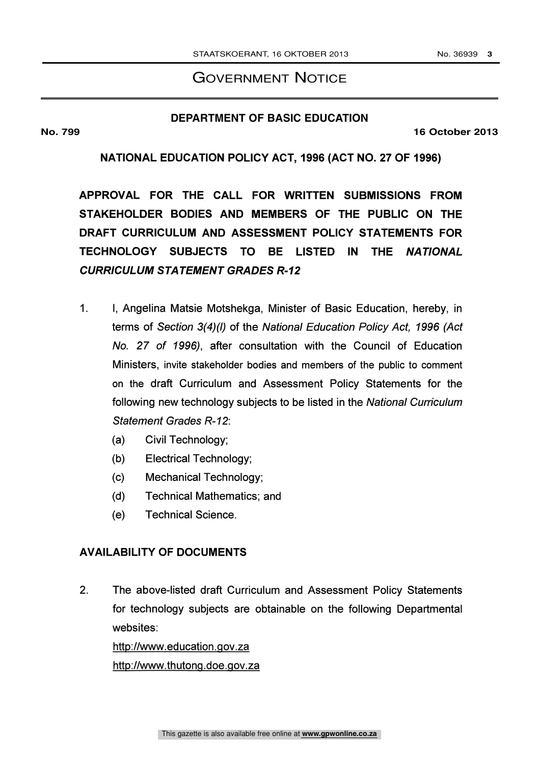# GOVERNMENT NOTICE

# **DEPARTMENT OF BASIC EDUCATION**

**No. 799 16 October 2013**

# NATIONAL EDUCATION POLICY ACT, 1996 (ACT NO. 27 OF 1996)

APPROVAL FOR THE CALL FOR WRITTEN SUBMISSIONS FROM STAKEHOLDER BODIES AND MEMBERS OF THE PUBLIC ON THE DRAFT CURRICULUM AND ASSESSMENT POLICY STATEMENTS FOR TECHNOLOGY SUBJECTS TO BE LISTED IN THE NATIONAL CURRICULUM STATEMENT GRADES R-12

- 1. I, Angelina Matsie Motshekga, Minister of Basic Education, hereby, in terms of Section 3(4)(1) of the National Education Policy Act, 1996 (Act No. 27 of 1996), after consultation with the Council of Education Ministers, invite stakeholder bodies and members of the public to comment on the draft Curriculum and Assessment Policy Statements for the following new technology subjects to be listed in the National Curriculum Statement Grades R-12:
	- (a) Civil Technology;
	- (b) Electrical Technology;
	- (c) Mechanical Technology;
	- (d) Technical Mathematics; and
	- (e) Technical Science.

# AVAILABILITY OF DOCUMENTS

2. The above-listed draft Curriculum and Assessment Policy Statements for technology subjects are obtainable on the following Departmental websites:

http://vvww.education.gov.za

http://wwvv.thutong.doe.gov.za